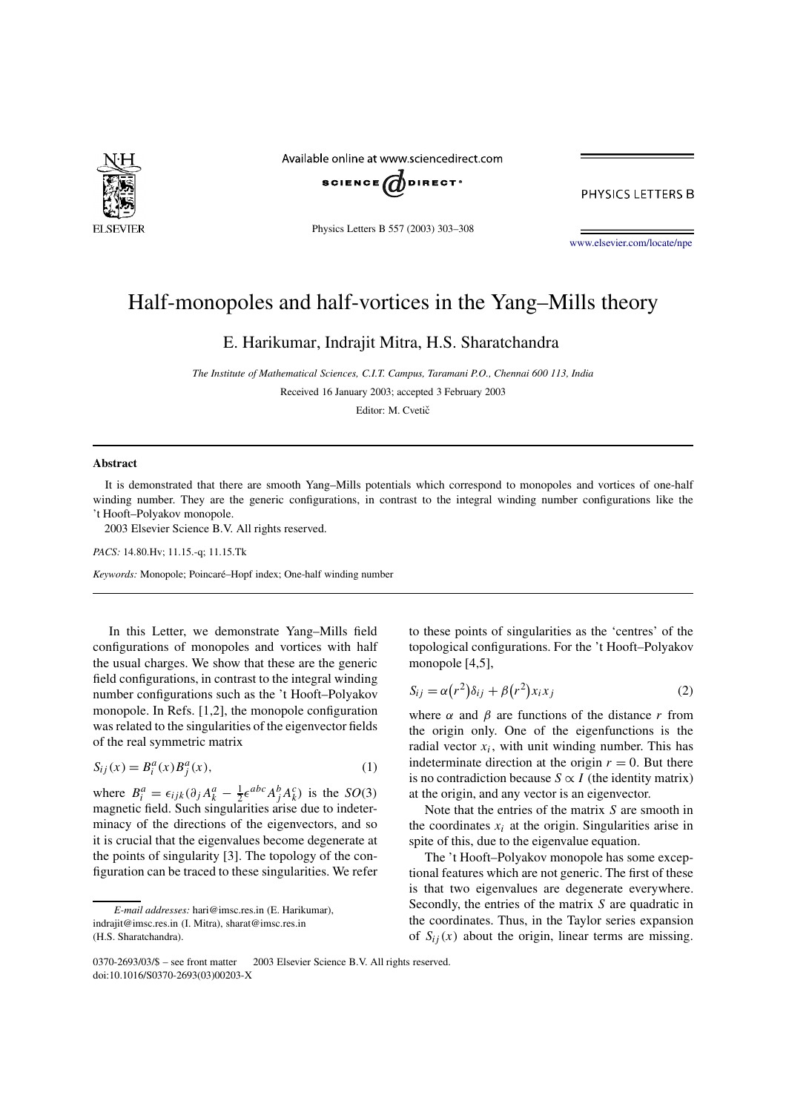

Available online at www.sciencedirect.com



PHYSICS LETTERS B

Physics Letters B 557 (2003) 303–308

www.elsevier.com/locate/npe

## Half-monopoles and half-vortices in the Yang–Mills theory

E. Harikumar, Indrajit Mitra, H.S. Sharatchandra

*The Institute of Mathematical Sciences, C.I.T. Campus, Taramani P.O., Chennai 600 113, India*

Received 16 January 2003; accepted 3 February 2003

Editor: M. Cvetič

## **Abstract**

It is demonstrated that there are smooth Yang–Mills potentials which correspond to monopoles and vortices of one-half winding number. They are the generic configurations, in contrast to the integral winding number configurations like the 't Hooft–Polyakov monopole.

2003 Elsevier Science B.V. All rights reserved.

*PACS:* 14.80.Hv; 11.15.-q; 11.15.Tk

*Keywords:* Monopole; Poincaré–Hopf index; One-half winding number

In this Letter, we demonstrate Yang–Mills field configurations of monopoles and vortices with half the usual charges. We show that these are the generic field configurations, in contrast to the integral winding number configurations such as the 't Hooft–Polyakov monopole. In Refs. [1,2], the monopole configuration was related to the singularities of the eigenvector fields of the real symmetric matrix

$$
S_{ij}(x) = B_i^a(x)B_j^a(x),\tag{1}
$$

where  $B_i^a = \epsilon_{ijk} (\partial_j A_k^a - \frac{1}{2} \epsilon^{abc} A_j^b A_k^c)$  is the *SO*(3) magnetic field. Such singularities arise due to indeterminacy of the directions of the eigenvectors, and so it is crucial that the eigenvalues become degenerate at the points of singularity [3]. The topology of the configuration can be traced to these singularities. We refer to these points of singularities as the 'centres' of the topological configurations. For the 't Hooft–Polyakov monopole [4,5],

$$
S_{ij} = \alpha (r^2) \delta_{ij} + \beta (r^2) x_i x_j \tag{2}
$$

where  $\alpha$  and  $\beta$  are functions of the distance r from the origin only. One of the eigenfunctions is the radial vector  $x_i$ , with unit winding number. This has indeterminate direction at the origin  $r = 0$ . But there is no contradiction because  $S \propto I$  (the identity matrix) at the origin, and any vector is an eigenvector.

Note that the entries of the matrix  $S$  are smooth in the coordinates  $x_i$  at the origin. Singularities arise in spite of this, due to the eigenvalue equation.

The 't Hooft–Polyakov monopole has some exceptional features which are not generic. The first of these is that two eigenvalues are degenerate everywhere. Secondly, the entries of the matrix  $S$  are quadratic in the coordinates. Thus, in the Taylor series expansion of  $S_{ij}(x)$  about the origin, linear terms are missing.

*E-mail addresses:* hari@imsc.res.in (E. Harikumar), indrajit@imsc.res.in (I. Mitra), sharat@imsc.res.in (H.S. Sharatchandra).

 $0370-2693/03$ /\$ – see front matter  $\odot$  2003 Elsevier Science B.V. All rights reserved. doi:10.1016/S0370-2693(03)00203-X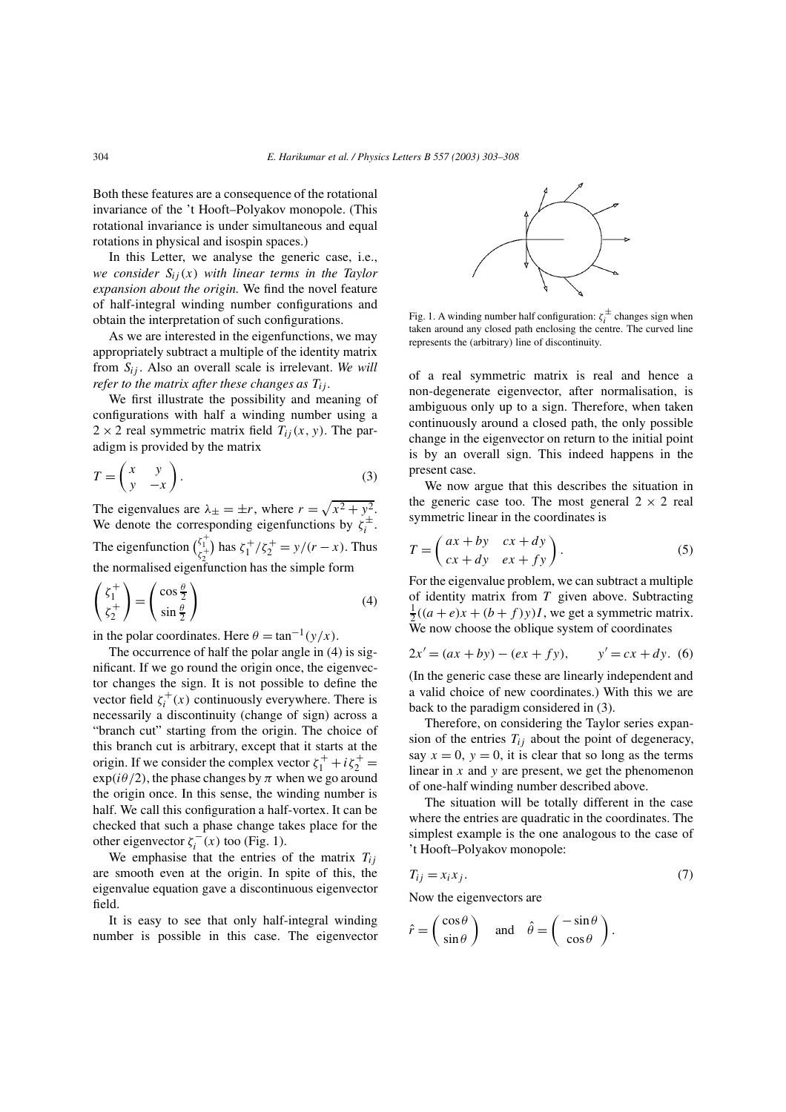Both these features are a consequence of the rotational invariance of the 't Hooft–Polyakov monopole. (This rotational invariance is under simultaneous and equal rotations in physical and isospin spaces.)

In this Letter, we analyse the generic case, i.e., *we consider*  $S_{ij}(x)$  *with linear terms in the Taylor expansion about the origin.* We find the novel feature of half-integral winding number configurations and obtain the interpretation of such configurations.

As we are interested in the eigenfunctions, we may appropriately subtract a multiple of the identity matrix from  $S_{ij}$ . Also an overall scale is irrelevant. We will *refer to the matrix after these changes as*  $T_{ij}$ *.* 

We first illustrate the possibility and meaning of configurations with half a winding number using a  $2 \times 2$  real symmetric matrix field  $T_{ij}(x, y)$ . The paradigm is provided by the matrix

$$
T = \begin{pmatrix} x & y \\ y & -x \end{pmatrix} . \tag{3}
$$

The eigenvalues are  $\lambda_{\pm} = \pm r$ , where  $r = \sqrt{x^2 + y^2}$ . We denote the corresponding eigenfunctions by  $\zeta_i^{\pm}$ . The eigenfunction  $\binom{\zeta_1^+}{\zeta_2^+}$  has  $\zeta_1^+ / \zeta_2^+ = y/(r - x)$ . Thus the normalised eigenfunction has the simple form

$$
\begin{pmatrix} \zeta_1^+ \\ \zeta_2^+ \end{pmatrix} = \begin{pmatrix} \cos \frac{\theta}{2} \\ \sin \frac{\theta}{2} \end{pmatrix}
$$
 (4)

in the polar coordinates. Here  $\theta = \tan^{-1}(y/x)$ .

The occurrence of half the polar angle in (4) is significant. If we go round the origin once, the eigenvector changes the sign. It is not possible to define the vector field  $\zeta_i^+(x)$  continuously everywhere. There is necessarily a discontinuity (change of sign) across a "branch cut" starting from the origin. The choice of this branch cut is arbitrary, except that it starts at the origin. If we consider the complex vector  $\zeta_1^+ + i \zeta_2^+ =$  $exp(i\theta/2)$ , the phase changes by  $\pi$  when we go around the origin once. In this sense, the winding number is half. We call this configuration a half-vortex. It can be checked that such a phase change takes place for the other eigenvector  $\zeta_i^{-}(x)$  too (Fig. 1).

We emphasise that the entries of the matrix  $T_{ij}$ are smooth even at the origin. In spite of this, the eigenvalue equation gave a discontinuous eigenvector field.

It is easy to see that only half-integral winding number is possible in this case. The eigenvector



Fig. 1. A winding number half configuration:  $\zeta_i^{\pm}$  changes sign when taken around any closed path enclosing the centre. The curved line represents the (arbitrary) line of discontinuity.

of a real symmetric matrix is real and hence a non-degenerate eigenvector, after normalisation, is ambiguous only up to a sign. Therefore, when taken continuously around a closed path, the only possible change in the eigenvector on return to the initial point is by an overall sign. This indeed happens in the present case.

We now argue that this describes the situation in the generic case too. The most general  $2 \times 2$  real symmetric linear in the coordinates is

$$
T = \begin{pmatrix} ax + by & cx + dy \\ cx + dy & ex + fy \end{pmatrix}.
$$
 (5)

For the eigenvalue problem, we can subtract a multiple of identity matrix from  $T$  given above. Subtracting  $\frac{1}{2}((a+e)x+(b+f)y)I$ , we get a symmetric matrix. We now choose the oblique system of coordinates

$$
2x' = (ax + by) - (ex + fy), \qquad y' = cx + dy. \tag{6}
$$

(In the generic case these are linearly independent and a valid choice of new coordinates.) With this we are back to the paradigm considered in (3).

Therefore, on considering the Taylor series expansion of the entries  $T_{ij}$  about the point of degeneracy, say  $x = 0$ ,  $y = 0$ , it is clear that so long as the terms linear in  $x$  and  $y$  are present, we get the phenomenon of one-half winding number described above.

The situation will be totally different in the case where the entries are quadratic in the coordinates. The simplest example is the one analogous to the case of 't Hooft–Polyakov monopole:

$$
T_{ij} = x_i x_j. \tag{7}
$$

Now the eigenvectors are

$$
\hat{r} = \begin{pmatrix} \cos \theta \\ \sin \theta \end{pmatrix}
$$
 and  $\hat{\theta} = \begin{pmatrix} -\sin \theta \\ \cos \theta \end{pmatrix}$ .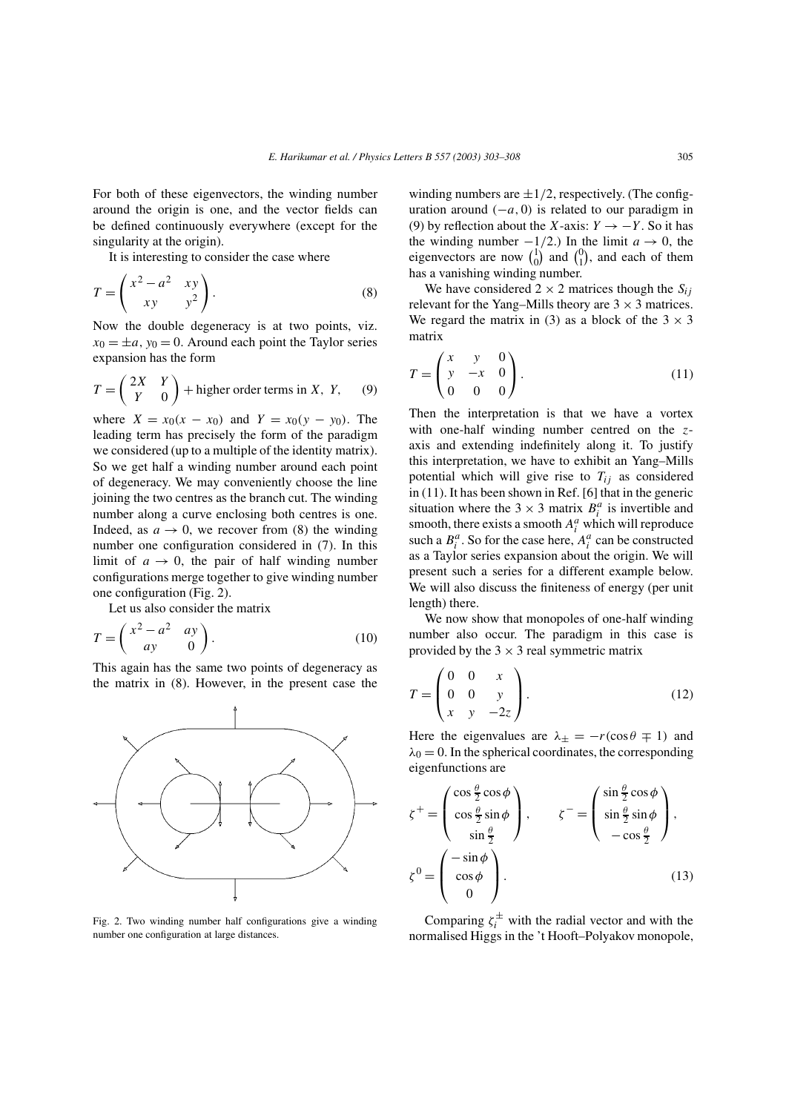For both of these eigenvectors, the winding number around the origin is one, and the vector fields can be defined continuously everywhere (except for the singularity at the origin).

It is interesting to consider the case where

$$
T = \begin{pmatrix} x^2 - a^2 & xy \\ xy & y^2 \end{pmatrix}.
$$
 (8)

Now the double degeneracy is at two points, viz.  $x_0 = \pm a$ ,  $y_0 = 0$ . Around each point the Taylor series expansion has the form

$$
T = \begin{pmatrix} 2X & Y \\ Y & 0 \end{pmatrix} + \text{higher order terms in } X, Y, \qquad (9)
$$

where  $X = x_0(x - x_0)$  and  $Y = x_0(y - y_0)$ . The leading term has precisely the form of the paradigm we considered (up to a multiple of the identity matrix). So we get half a winding number around each point of degeneracy. We may conveniently choose the line joining the two centres as the branch cut. The winding number along a curve enclosing both centres is one. Indeed, as  $a \to 0$ , we recover from (8) the winding number one configuration considered in (7). In this limit of  $a \rightarrow 0$ , the pair of half winding number configurations merge together to give winding number one configuration (Fig. 2).

Let us also consider the matrix

$$
T = \begin{pmatrix} x^2 - a^2 & ay \\ ay & 0 \end{pmatrix} . \tag{10}
$$

This again has the same two points of degeneracy as the matrix in (8). However, in the present case the



Fig. 2. Two winding number half configurations give a winding number one configuration at large distances.

winding numbers are  $\pm 1/2$ , respectively. (The configuration around  $(-a, 0)$  is related to our paradigm in (9) by reflection about the X-axis:  $Y \rightarrow -Y$ . So it has the winding number  $-1/2$ .) In the limit  $a \to 0$ , the eigenvectors are now  $\binom{1}{0}$  $\binom{1}{0}$  and  $\binom{0}{1}$  $_1^0$ , and each of them has a vanishing winding number.

We have considered  $2 \times 2$  matrices though the  $S_{ij}$ relevant for the Yang–Mills theory are  $3 \times 3$  matrices. We regard the matrix in (3) as a block of the  $3 \times 3$ matrix

$$
T = \begin{pmatrix} x & y & 0 \\ y & -x & 0 \\ 0 & 0 & 0 \end{pmatrix}.
$$
 (11)

Then the interpretation is that we have a vortex with one-half winding number centred on the zaxis and extending indefinitely along it. To justify this interpretation, we have to exhibit an Yang–Mills potential which will give rise to  $T_{ij}$  as considered in (11). It has been shown in Ref. [6] that in the generic situation where the  $3 \times 3$  matrix  $B_i^a$  is invertible and smooth, there exists a smooth  $A_i^a$  which will reproduce such a  $B_i^a$ . So for the case here,  $A_i^a$  can be constructed as a Taylor series expansion about the origin. We will present such a series for a different example below. We will also discuss the finiteness of energy (per unit length) there.

We now show that monopoles of one-half winding number also occur. The paradigm in this case is provided by the  $3 \times 3$  real symmetric matrix

$$
T = \begin{pmatrix} 0 & 0 & x \\ 0 & 0 & y \\ x & y & -2z \end{pmatrix}.
$$
 (12)

Here the eigenvalues are  $\lambda_{\pm} = -r(\cos \theta \mp 1)$  and  $\lambda_0 = 0$ . In the spherical coordinates, the corresponding eigenfunctions are

$$
\zeta^{+} = \begin{pmatrix} \cos\frac{\theta}{2}\cos\phi \\ \cos\frac{\theta}{2}\sin\phi \\ \sin\frac{\theta}{2} \end{pmatrix}, \qquad \zeta^{-} = \begin{pmatrix} \sin\frac{\theta}{2}\cos\phi \\ \sin\frac{\theta}{2}\sin\phi \\ -\cos\frac{\theta}{2} \end{pmatrix},
$$

$$
\zeta^{0} = \begin{pmatrix} -\sin\phi \\ \cos\phi \\ 0 \end{pmatrix}.
$$
(13)

Comparing  $\zeta_i^{\pm}$  with the radial vector and with the normalised Higgs in the 't Hooft–Polyakov monopole,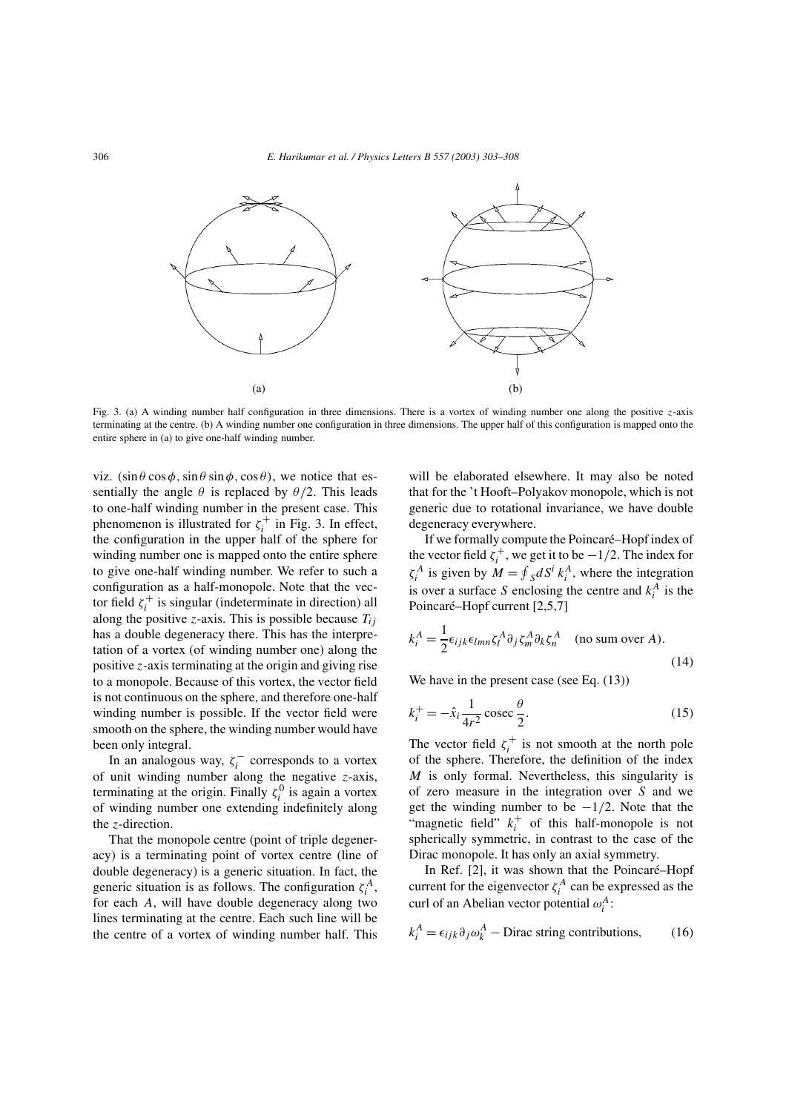

Fig. 3. (a) A winding number half configuration in three dimensions. There is a vortex of winding number one along the positive z-axis terminating at the centre. (b) A winding number one configuration in three dimensions. The upper half of this configuration is mapped onto the entire sphere in (a) to give one-half winding number.

viz.  $(\sin \theta \cos \phi, \sin \theta \sin \phi, \cos \theta)$ , we notice that essentially the angle  $\theta$  is replaced by  $\theta/2$ . This leads to one-half winding number in the present case. This phenomenon is illustrated for  $\zeta_i^+$  in Fig. 3. In effect, the configuration in the upper half of the sphere for winding number one is mapped onto the entire sphere to give one-half winding number. We refer to such a configuration as a half-monopole. Note that the vector field  $\zeta_i^+$  is singular (indeterminate in direction) all along the positive z-axis. This is possible because  $T_{ij}$ has a double degeneracy there. This has the interpretation of a vortex (of winding number one) along the positive z-axis terminating at the origin and giving rise to a monopole. Because of this vortex, the vector field is not continuous on the sphere, and therefore one-half winding number is possible. If the vector field were smooth on the sphere, the winding number would have been only integral.

In an analogous way,  $\zeta_i^-$  corresponds to a vortex of unit winding number along the negative  $z$ -axis, terminating at the origin. Finally  $\zeta_i^0$  is again a vortex of winding number one extending indefinitely along the z-direction.

That the monopole centre (point of triple degeneracy) is a terminating point of vortex centre (line of double degeneracy) is a generic situation. In fact, the generic situation is as follows. The configuration  $\zeta_i^A$ , for each A, will have double degeneracy along two lines terminating at the centre. Each such line will be the centre of a vortex of winding number half. This

will be elaborated elsewhere. It may also be noted that for the 't Hooft–Polyakov monopole, which is not generic due to rotational invariance, we have double degeneracy everywhere.

If we formally compute the Poincaré–Hopf index of the vector field  $\zeta_i^+$ , we get it to be  $-1/2$ . The index for  $\zeta_i^A$  is given by  $M = \oint_S dS^i k_i^A$ , where the integration is over a surface S enclosing the centre and  $k_i^A$  is the Poincaré–Hopf current [2,5,7]

$$
k_i^A = \frac{1}{2} \epsilon_{ijk} \epsilon_{lmn} \zeta_l^A \partial_j \zeta_m^A \partial_k \zeta_n^A \quad \text{(no sum over } A\text{)}.
$$
\n(14)

We have in the present case (see Eq.  $(13)$ )

$$
k_i^+ = -\hat{x}_i \frac{1}{4r^2} \csc \frac{\theta}{2}.
$$
 (15)

The vector field  $\zeta_i^+$  is not smooth at the north pole of the sphere. Therefore, the definition of the index  $M$  is only formal. Nevertheless, this singularity is of zero measure in the integration over S and we get the winding number to be  $-1/2$ . Note that the "magnetic field"  $k_i^+$  of this half-monopole is not spherically symmetric, in contrast to the case of the Dirac monopole. It has only an axial symmetry.

In Ref. [2], it was shown that the Poincaré–Hopf current for the eigenvector  $\zeta_i^A$  can be expressed as the curl of an Abelian vector potential  $\omega_i^A$ :

$$
k_i^A = \epsilon_{ijk} \partial_j \omega_k^A - \text{Dirac string contributions}, \qquad (16)
$$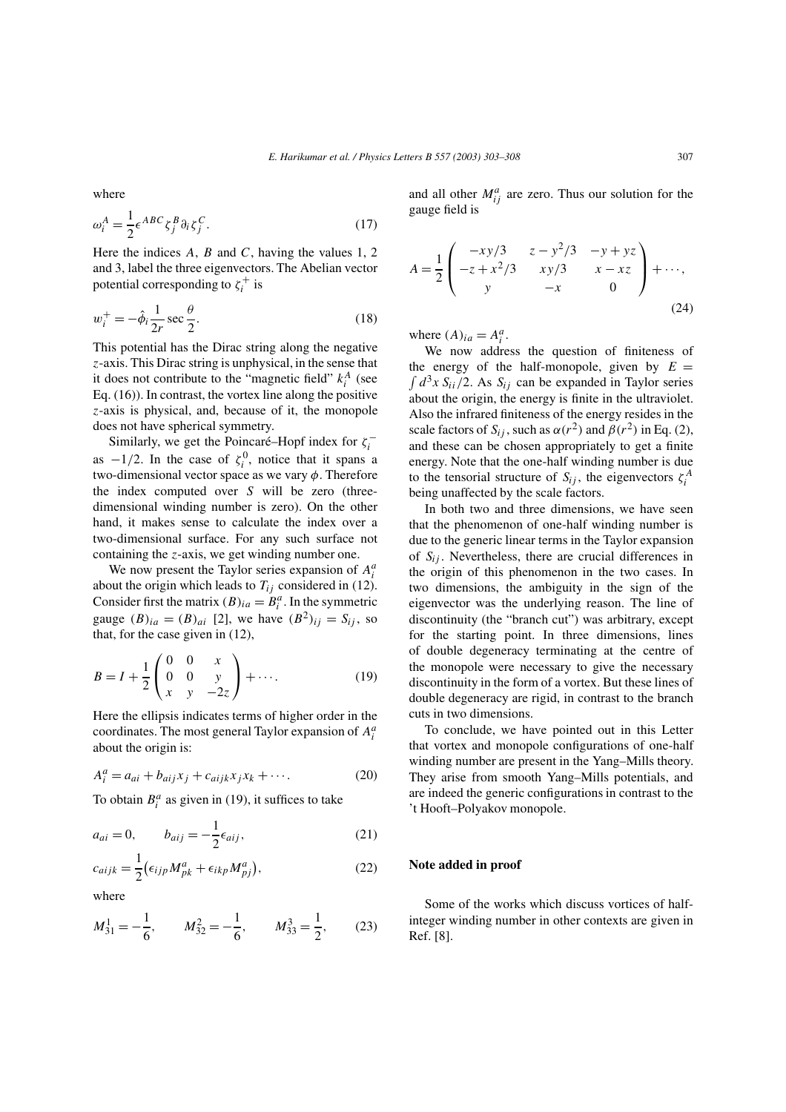where

$$
\omega_i^A = \frac{1}{2} \epsilon^{ABC} \zeta_j^B \partial_i \zeta_j^C.
$$
 (17)

Here the indices  $A$ ,  $B$  and  $C$ , having the values 1, 2 and 3, label the three eigenvectors. The Abelian vector potential corresponding to  $\zeta_i^+$  is

$$
w_i^+ = -\hat{\phi}_i \frac{1}{2r} \sec \frac{\theta}{2}.
$$
 (18)

This potential has the Dirac string along the negative z-axis. This Dirac string is unphysical, in the sense that it does not contribute to the "magnetic field"  $k_i^A$  (see Eq. (16)). In contrast, the vortex line along the positive z-axis is physical, and, because of it, the monopole does not have spherical symmetry.

Similarly, we get the Poincaré–Hopf index for  $\zeta_i^$ as  $-1/2$ . In the case of  $\zeta_i^0$ , notice that it spans a two-dimensional vector space as we vary  $\phi$ . Therefore the index computed over S will be zero (threedimensional winding number is zero). On the other hand, it makes sense to calculate the index over a two-dimensional surface. For any such surface not containing the  $z$ -axis, we get winding number one.

We now present the Taylor series expansion of  $A_i^a$ about the origin which leads to  $T_{ij}$  considered in (12). Consider first the matrix  $(B)_{ia} = B_i^a$ . In the symmetric gauge  $(B)_{ia} = (B)_{ai}$  [2], we have  $(B^2)_{ij} = S_{ij}$ , so that, for the case given in (12),

$$
B = I + \frac{1}{2} \begin{pmatrix} 0 & 0 & x \\ 0 & 0 & y \\ x & y & -2z \end{pmatrix} + \cdots.
$$
 (19)

Here the ellipsis indicates terms of higher order in the coordinates. The most general Taylor expansion of  $A_i^a$ about the origin is:

$$
A_i^a = a_{ai} + b_{aij}x_j + c_{aijk}x_jx_k + \cdots.
$$
 (20)

To obtain  $B_i^a$  as given in (19), it suffices to take

$$
a_{ai} = 0, \qquad b_{aij} = -\frac{1}{2} \epsilon_{aij}, \tag{21}
$$

$$
c_{aijk} = \frac{1}{2} \left( \epsilon_{ijp} M_{pk}^a + \epsilon_{ikp} M_{pj}^a \right),\tag{22}
$$

where

$$
M_{31}^1 = -\frac{1}{6}, \qquad M_{32}^2 = -\frac{1}{6}, \qquad M_{33}^3 = \frac{1}{2}, \qquad (23)
$$

and all other  $M_{ij}^a$  are zero. Thus our solution for the gauge field is

$$
A = \frac{1}{2} \begin{pmatrix} -xy/3 & z - y^2/3 & -y + yz \\ -z + x^2/3 & xy/3 & x - xz \\ y & -x & 0 \end{pmatrix} + \cdots,
$$
\n(24)

where  $(A)_{ia} = A_i^a$ .

We now address the question of finiteness of the energy of the half-monopole, given by  $E =$  $\int d^3x S_{ii}/2$ . As  $S_{ij}$  can be expanded in Taylor series about the origin, the energy is finite in the ultraviolet. Also the infrared finiteness of the energy resides in the scale factors of  $S_{ij}$ , such as  $\alpha(r^2)$  and  $\beta(r^2)$  in Eq. (2), and these can be chosen appropriately to get a finite energy. Note that the one-half winding number is due to the tensorial structure of  $S_{ij}$ , the eigenvectors  $\zeta_i^A$ being unaffected by the scale factors.

In both two and three dimensions, we have seen that the phenomenon of one-half winding number is due to the generic linear terms in the Taylor expansion of  $S_{ij}$ . Nevertheless, there are crucial differences in the origin of this phenomenon in the two cases. In two dimensions, the ambiguity in the sign of the eigenvector was the underlying reason. The line of discontinuity (the "branch cut") was arbitrary, except for the starting point. In three dimensions, lines of double degeneracy terminating at the centre of the monopole were necessary to give the necessary discontinuity in the form of a vortex. But these lines of double degeneracy are rigid, in contrast to the branch cuts in two dimensions.

To conclude, we have pointed out in this Letter that vortex and monopole configurations of one-half winding number are present in the Yang–Mills theory. They arise from smooth Yang–Mills potentials, and are indeed the generic configurations in contrast to the 't Hooft–Polyakov monopole.

## **Note added in proof**

Some of the works which discuss vortices of halfinteger winding number in other contexts are given in Ref. [8].